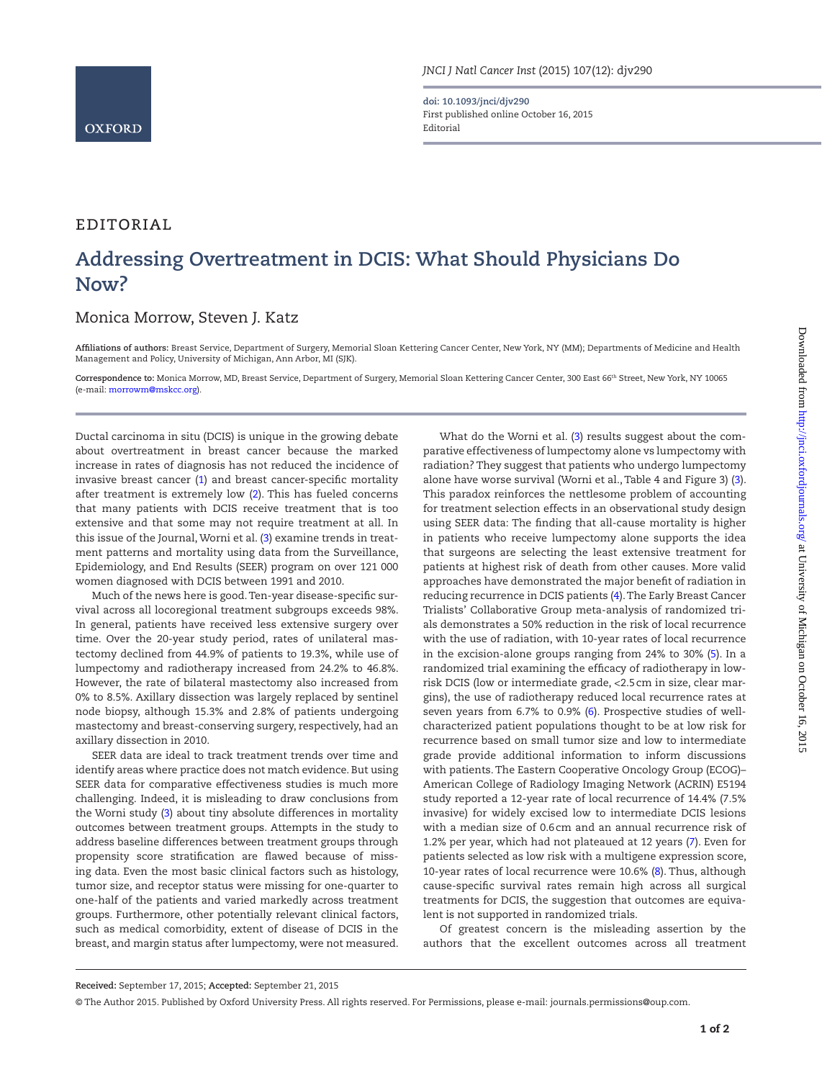**doi: 10.1093/jnci/djv290** First published online October 16, 2015 Editorial

## editorial

## **Addressing Overtreatment in DCIS: What Should Physicians Do Now?**

## Monica Morrow, Steven J. Katz

**Affiliations of authors:** Breast Service, Department of Surgery, Memorial Sloan Kettering Cancer Center, New York, NY (MM); Departments of Medicine and Health Management and Policy, University of Michigan, Ann Arbor, MI (SJK).

**Correspondence to:** Monica Morrow, MD, Breast Service, Department of Surgery, Memorial Sloan Kettering Cancer Center, 300 East 66th Street, New York, NY 10065 (e-mail: morrowm@mskcc.org).

Ductal carcinoma in situ (DCIS) is unique in the growing debate about overtreatment in breast cancer because the marked increase in rates of diagnosis has not reduced the incidence of invasive breast cancer (1) and breast cancer-specific mortality after treatment is extremely low (2). This has fueled concerns that many patients with DCIS receive treatment that is too extensive and that some may not require treatment at all. In this issue of the Journal, Worni et al. (3) examine trends in treatment patterns and mortality using data from the Surveillance, Epidemiology, and End Results (SEER) program on over 121 000 women diagnosed with DCIS between 1991 and 2010.

Much of the news here is good. Ten-year disease-specific survival across all locoregional treatment subgroups exceeds 98%. In general, patients have received less extensive surgery over time. Over the 20-year study period, rates of unilateral mastectomy declined from 44.9% of patients to 19.3%, while use of lumpectomy and radiotherapy increased from 24.2% to 46.8%. However, the rate of bilateral mastectomy also increased from 0% to 8.5%. Axillary dissection was largely replaced by sentinel node biopsy, although 15.3% and 2.8% of patients undergoing mastectomy and breast-conserving surgery, respectively, had an axillary dissection in 2010.

SEER data are ideal to track treatment trends over time and identify areas where practice does not match evidence. But using SEER data for comparative effectiveness studies is much more challenging. Indeed, it is misleading to draw conclusions from the Worni study (3) about tiny absolute differences in mortality outcomes between treatment groups. Attempts in the study to address baseline differences between treatment groups through propensity score stratification are flawed because of missing data. Even the most basic clinical factors such as histology, tumor size, and receptor status were missing for one-quarter to one-half of the patients and varied markedly across treatment groups. Furthermore, other potentially relevant clinical factors, such as medical comorbidity, extent of disease of DCIS in the breast, and margin status after lumpectomy, were not measured.

What do the Worni et al. (3) results suggest about the comparative effectiveness of lumpectomy alone vs lumpectomy with radiation? They suggest that patients who undergo lumpectomy alone have worse survival (Worni et al., Table 4 and Figure 3) (3). This paradox reinforces the nettlesome problem of accounting for treatment selection effects in an observational study design using SEER data: The finding that all-cause mortality is higher in patients who receive lumpectomy alone supports the idea that surgeons are selecting the least extensive treatment for patients at highest risk of death from other causes. More valid approaches have demonstrated the major benefit of radiation in reducing recurrence in DCIS patients (4). The Early Breast Cancer Trialists' Collaborative Group meta-analysis of randomized trials demonstrates a 50% reduction in the risk of local recurrence with the use of radiation, with 10-year rates of local recurrence in the excision-alone groups ranging from 24% to 30% (5). In a randomized trial examining the efficacy of radiotherapy in lowrisk DCIS (low or intermediate grade, <2.5cm in size, clear margins), the use of radiotherapy reduced local recurrence rates at seven years from 6.7% to 0.9% (6). Prospective studies of wellcharacterized patient populations thought to be at low risk for recurrence based on small tumor size and low to intermediate grade provide additional information to inform discussions with patients. The Eastern Cooperative Oncology Group (ECOG)– American College of Radiology Imaging Network (ACRIN) E5194 study reported a 12-year rate of local recurrence of 14.4% (7.5% invasive) for widely excised low to intermediate DCIS lesions with a median size of 0.6cm and an annual recurrence risk of 1.2% per year, which had not plateaued at 12 years (7). Even for patients selected as low risk with a multigene expression score, 10-year rates of local recurrence were 10.6% (8). Thus, although cause-specific survival rates remain high across all surgical treatments for DCIS, the suggestion that outcomes are equivalent is not supported in randomized trials.

Of greatest concern is the misleading assertion by the authors that the excellent outcomes across all treatment

**Received:** September 17, 2015; **Accepted:** September 21, 2015

<sup>©</sup> The Author 2015. Published by Oxford University Press. All rights reserved. For Permissions, please e-mail: journals.permissions@oup.com.